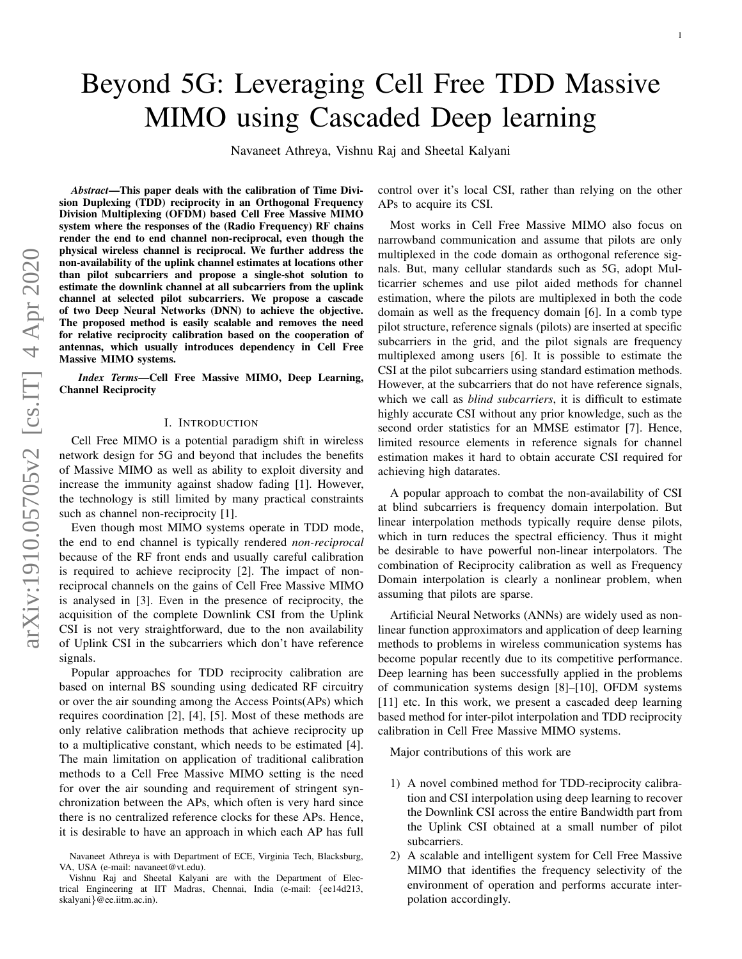# Beyond 5G: Leveraging Cell Free TDD Massive MIMO using Cascaded Deep learning

Navaneet Athreya, Vishnu Raj and Sheetal Kalyani

*Abstract*—This paper deals with the calibration of Time Division Duplexing (TDD) reciprocity in an Orthogonal Frequency Division Multiplexing (OFDM) based Cell Free Massive MIMO system where the responses of the (Radio Frequency) RF chain s render the end to end channel non-reciprocal, even though th e physical wireless channel is reciprocal. We further address the non-availability of the uplink channel estimates at locations other than pilot subcarriers and propose a single-shot solution t o estimate the downlink channel at all subcarriers from the uplink channel at selected pilot subcarriers. We propose a cascade of two Deep Neural Networks (DNN) to achieve the objective. The proposed method is easily scalable and removes the need for relative reciprocity calibration based on the cooperation of antennas, which usually introduces dependency in Cell Free Massive MIMO systems.

*Index Terms*—Cell Free Massive MIMO, Deep Learning, Channel Reciprocity

# I. INTRODUCTION

Cell Free MIMO is a potential paradigm shift in wireless network design for 5G and beyond that includes the benefits of Massive MIMO as well as ability to exploit diversity and increase the immunity against shadow fading [1]. However, the technology is still limited by many practical constraints such as channel non-reciprocity [1].

Even though most MIMO systems operate in TDD mode, the end to end channel is typically rendered *non-reciprocal* because of the RF front ends and usually careful calibration is required to achieve reciprocity [2]. The impact of nonreciprocal channels on the gains of Cell Free Massive MIMO is analysed in [3]. Even in the presence of reciprocity, the acquisition of the complete Downlink CSI from the Uplink CSI is not very straightforward, due to the non availability of Uplink CSI in the subcarriers which don't have reference signals.

Popular approaches for TDD reciprocity calibration are based on internal BS sounding using dedicated RF circuitry or over the air sounding among the Access Points(APs) which requires coordination [2], [4], [5]. Most of these methods are only relative calibration methods that achieve reciprocity up to a multiplicative constant, which needs to be estimated [4]. The main limitation on application of traditional calibration methods to a Cell Free Massive MIMO setting is the need for over the air sounding and requirement of stringent synchronization between the APs, which often is very hard since there is no centralized reference clocks for these APs. Hence, it is desirable to have an approach in which each AP has full control over it's local CSI, rather than relying on the other APs to acquire its CSI.

Most works in Cell Free Massive MIMO also focus on narrowband communication and assume that pilots are only multiplexed in the code domain as orthogonal reference signals. But, many cellular standards such as 5G, adopt Multicarrier schemes and use pilot aided methods for channel estimation, where the pilots are multiplexed in both the cod e domain as well as the frequency domain [6]. In a comb type pilot structure, reference signals (pilots) are inserted at specific subcarriers in the grid, and the pilot signals are frequency multiplexed among users [6]. It is possible to estimate the CSI at the pilot subcarriers using standard estimation methods. However, at the subcarriers that do not have reference signals, which we call as *blind subcarriers*, it is difficult to estimate highly accurate CSI without any prior knowledge, such as the second order statistics for an MMSE estimator [7]. Hence, limited resource elements in reference signals for channel estimation makes it hard to obtain accurate CSI required for achieving high datarates.

A popular approach to combat the non-availability of CSI at blind subcarriers is frequency domain interpolation. Bu t linear interpolation methods typically require dense pilots, which in turn reduces the spectral efficiency. Thus it might be desirable to have powerful non-linear interpolators. Th e combination of Reciprocity calibration as well as Frequenc y Domain interpolation is clearly a nonlinear problem, when assuming that pilots are sparse.

Artificial Neural Networks (ANNs) are widely used as nonlinear function approximators and application of deep learning methods to problems in wireless communication systems has become popular recently due to its competitive performance . Deep learning has been successfully applied in the problems of communication systems design [8]–[10], OFDM systems [11] etc. In this work, we present a cascaded deep learning based method for inter-pilot interpolation and TDD reciprocity calibration in Cell Free Massive MIMO systems.

Major contributions of this work are

- 1) A novel combined method for TDD-reciprocity calibration and CSI interpolation using deep learning to recover the Downlink CSI across the entire Bandwidth part from the Uplink CSI obtained at a small number of pilot subcarriers.
- 2) A scalable and intelligent system for Cell Free Massive MIMO that identifies the frequency selectivity of the environment of operation and performs accurate interpolation accordingly.

Navaneet Athreya is with Department of ECE, Virginia Tech, Blacksburg, VA, USA (e-mail: navaneet@vt.edu).

Vishnu Raj and Sheetal Kalyani are with the Department of Electrical Engineering at IIT Madras, Chennai, India (e-mail: {ee14d213, skalyani }@ee.iitm.ac.in).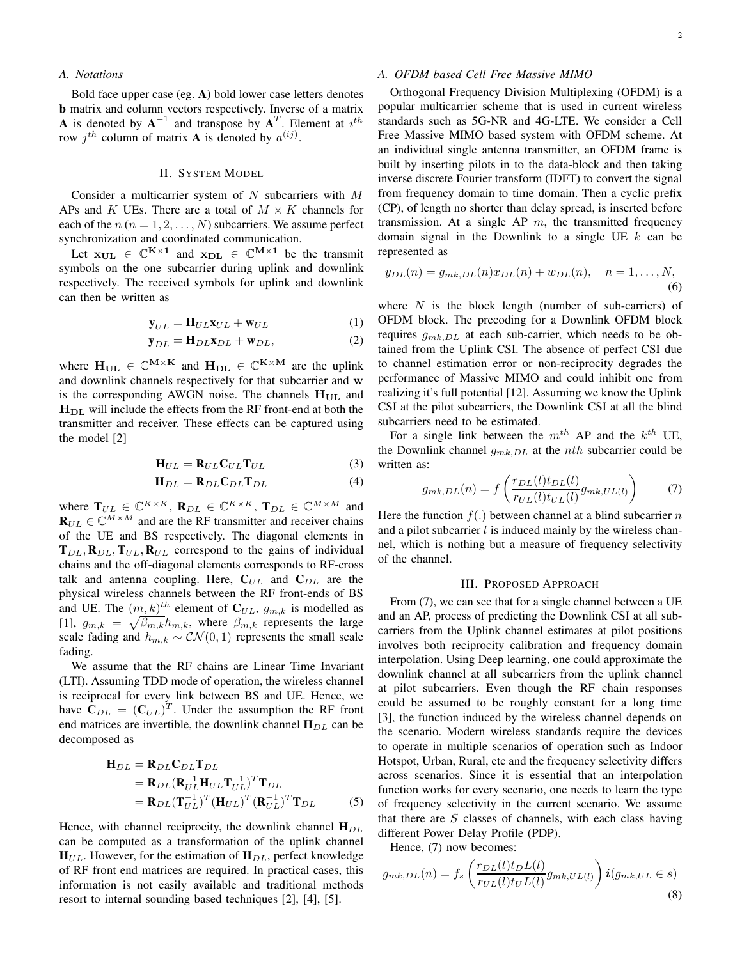### *A. Notations*

Bold face upper case (eg. A) bold lower case letters denotes b matrix and column vectors respectively. Inverse of a matrix **A** is denoted by  $A^{-1}$  and transpose by  $A^{T}$ . Element at  $i^{th}$ row  $j^{th}$  column of matrix **A** is denoted by  $a^{(ij)}$ .

# II. SYSTEM MODEL

Consider a multicarrier system of  $N$  subcarriers with  $M$ APs and K UEs. There are a total of  $M \times K$  channels for each of the  $n (n = 1, 2, ..., N)$  subcarriers. We assume perfect synchronization and coordinated communication.

Let  $x_{\text{UL}} \in \mathbb{C}^{K \times 1}$  and  $x_{\text{DL}} \in \mathbb{C}^{M \times 1}$  be the transmit symbols on the one subcarrier during uplink and downlink respectively. The received symbols for uplink and downlink can then be written as

$$
\mathbf{y}_{UL} = \mathbf{H}_{UL}\mathbf{x}_{UL} + \mathbf{w}_{UL} \tag{1}
$$

$$
\mathbf{y}_{DL} = \mathbf{H}_{DL}\mathbf{x}_{DL} + \mathbf{w}_{DL},\tag{2}
$$

where  $H_{UL} \in \mathbb{C}^{M \times K}$  and  $H_{DL} \in \mathbb{C}^{K \times M}$  are the uplink and downlink channels respectively for that subcarrier and w is the corresponding AWGN noise. The channels  $H_{UL}$  and  $H<sub>DL</sub>$  will include the effects from the RF front-end at both the transmitter and receiver. These effects can be captured using the model [2]

$$
\mathbf{H}_{UL} = \mathbf{R}_{UL} \mathbf{C}_{UL} \mathbf{T}_{UL} \tag{3}
$$

$$
\mathbf{H}_{DL} = \mathbf{R}_{DL} \mathbf{C}_{DL} \mathbf{T}_{DL} \tag{4}
$$

where  $\mathbf{T}_{UL} \in \mathbb{C}^{K \times K}$ ,  $\mathbf{R}_{DL} \in \mathbb{C}^{K \times K}$ ,  $\mathbf{T}_{DL} \in \mathbb{C}^{M \times M}$  and  ${\bf R}_{UL} \in \mathbb{C}^{M \times M}$  and are the RF transmitter and receiver chains of the UE and BS respectively. The diagonal elements in  $T_{DL}$ ,  $R_{DL}$ ,  $T_{UL}$ ,  $R_{UL}$  correspond to the gains of individual chains and the off-diagonal elements corresponds to RF-cross talk and antenna coupling. Here,  $C_{UL}$  and  $C_{DL}$  are the physical wireless channels between the RF front-ends of BS and UE. The  $(m, k)^{th}$  element of  $C_{UL}$ ,  $g_{m,k}$  is modelled as [1],  $g_{m,k} = \sqrt{\beta_{m,k}} h_{m,k}$ , where  $\beta_{m,k}$  represents the large scale fading and  $h_{m,k} \sim \mathcal{CN}(0, 1)$  represents the small scale fading.

We assume that the RF chains are Linear Time Invariant (LTI). Assuming TDD mode of operation, the wireless channel is reciprocal for every link between BS and UE. Hence, we have  $C_{DL} = (C_{UL})^T$ . Under the assumption the RF front end matrices are invertible, the downlink channel  $H_{DL}$  can be decomposed as

$$
\mathbf{H}_{DL} = \mathbf{R}_{DL} \mathbf{C}_{DL} \mathbf{T}_{DL}
$$
  
=  $\mathbf{R}_{DL} (\mathbf{R}_{UL}^{-1} \mathbf{H}_{UL} \mathbf{T}_{UL})^T \mathbf{T}_{DL}$   
=  $\mathbf{R}_{DL} (\mathbf{T}_{UL}^{-1})^T (\mathbf{H}_{UL})^T (\mathbf{R}_{UL}^{-1})^T \mathbf{T}_{DL}$  (5)

Hence, with channel reciprocity, the downlink channel  $H_{DL}$ can be computed as a transformation of the uplink channel  $H_{UL}$ . However, for the estimation of  $H_{DL}$ , perfect knowledge of RF front end matrices are required. In practical cases, this information is not easily available and traditional methods resort to internal sounding based techniques [2], [4], [5].

# *A. OFDM based Cell Free Massive MIMO*

Orthogonal Frequency Division Multiplexing (OFDM) is a popular multicarrier scheme that is used in current wireless standards such as 5G-NR and 4G-LTE. We consider a Cell Free Massive MIMO based system with OFDM scheme. At an individual single antenna transmitter, an OFDM frame is built by inserting pilots in to the data-block and then taking inverse discrete Fourier transform (IDFT) to convert the signal from frequency domain to time domain. Then a cyclic prefix (CP), of length no shorter than delay spread, is inserted before transmission. At a single  $AP \, m$ , the transmitted frequency domain signal in the Downlink to a single UE  $k$  can be represented as

$$
y_{DL}(n) = g_{mk,DL}(n)x_{DL}(n) + w_{DL}(n), \quad n = 1, ..., N,
$$
\n(6)

where  $N$  is the block length (number of sub-carriers) of OFDM block. The precoding for a Downlink OFDM block requires  $g_{mk,DL}$  at each sub-carrier, which needs to be obtained from the Uplink CSI. The absence of perfect CSI due to channel estimation error or non-reciprocity degrades the performance of Massive MIMO and could inhibit one from realizing it's full potential [12]. Assuming we know the Uplink CSI at the pilot subcarriers, the Downlink CSI at all the blind subcarriers need to be estimated.

For a single link between the  $m^{th}$  AP and the  $k^{th}$  UE, the Downlink channel  $g_{mk,DL}$  at the nth subcarrier could be written as:

$$
g_{mk,DL}(n) = f\left(\frac{r_{DL}(l)t_{DL}(l)}{r_{UL}(l)t_{UL}(l)}g_{mk,UL(l)}\right) \tag{7}
$$

Here the function  $f(.)$  between channel at a blind subcarrier n and a pilot subcarrier  $l$  is induced mainly by the wireless channel, which is nothing but a measure of frequency selectivity of the channel.

#### III. PROPOSED APPROACH

From (7), we can see that for a single channel between a UE and an AP, process of predicting the Downlink CSI at all subcarriers from the Uplink channel estimates at pilot positions involves both reciprocity calibration and frequency domain interpolation. Using Deep learning, one could approximate the downlink channel at all subcarriers from the uplink channel at pilot subcarriers. Even though the RF chain responses could be assumed to be roughly constant for a long time [3], the function induced by the wireless channel depends on the scenario. Modern wireless standards require the devices to operate in multiple scenarios of operation such as Indoor Hotspot, Urban, Rural, etc and the frequency selectivity differs across scenarios. Since it is essential that an interpolation function works for every scenario, one needs to learn the type of frequency selectivity in the current scenario. We assume that there are  $S$  classes of channels, with each class having different Power Delay Profile (PDP).

Hence, (7) now becomes:

$$
g_{mk,DL}(n) = f_s \left( \frac{r_{DL}(l)t_{D}L(l)}{r_{UL}(l)t_{U}L(l)} g_{mk,UL(l)} \right) \mathbf{i}(g_{mk,UL} \in s)
$$
\n(8)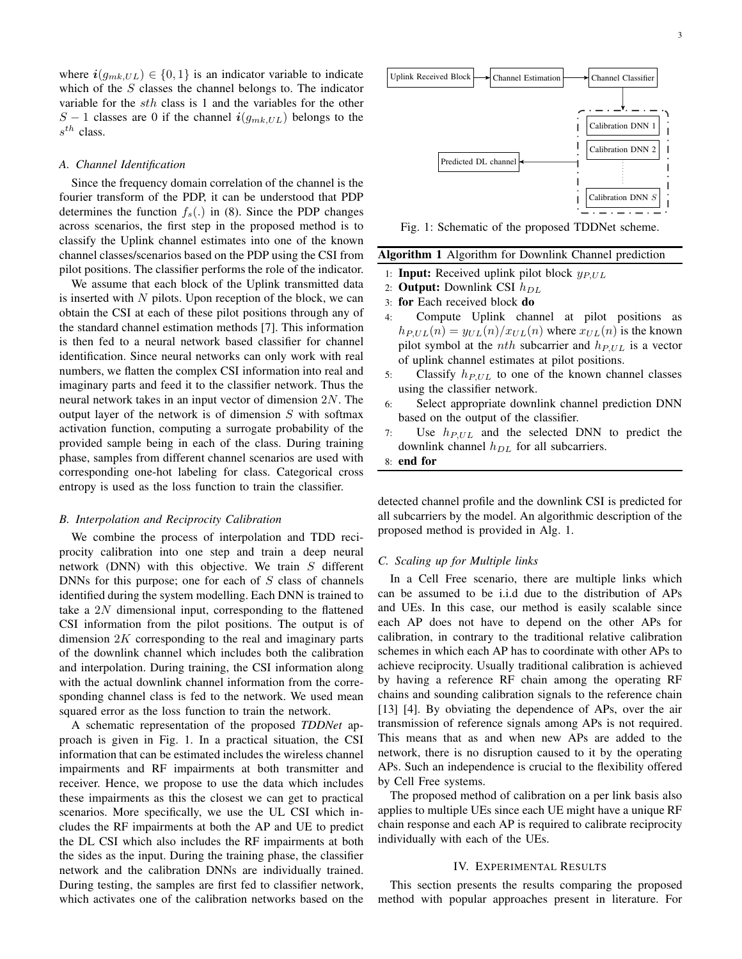where  $i(g_{mk,UL}) \in \{0,1\}$  is an indicator variable to indicate which of the S classes the channel belongs to. The indicator variable for the sth class is 1 and the variables for the other S − 1 classes are 0 if the channel  $i(g_{mk,UL})$  belongs to the  $s^{th}$  class.

#### *A. Channel Identification*

Since the frequency domain correlation of the channel is the fourier transform of the PDP, it can be understood that PDP determines the function  $f_s(.)$  in (8). Since the PDP changes across scenarios, the first step in the proposed method is to classify the Uplink channel estimates into one of the known channel classes/scenarios based on the PDP using the CSI from pilot positions. The classifier performs the role of the indicator.

We assume that each block of the Uplink transmitted data is inserted with  $N$  pilots. Upon reception of the block, we can obtain the CSI at each of these pilot positions through any of the standard channel estimation methods [7]. This information is then fed to a neural network based classifier for channel identification. Since neural networks can only work with real numbers, we flatten the complex CSI information into real and imaginary parts and feed it to the classifier network. Thus the neural network takes in an input vector of dimension 2N. The output layer of the network is of dimension  $S$  with softmax activation function, computing a surrogate probability of the provided sample being in each of the class. During training phase, samples from different channel scenarios are used with corresponding one-hot labeling for class. Categorical cross entropy is used as the loss function to train the classifier.

#### *B. Interpolation and Reciprocity Calibration*

We combine the process of interpolation and TDD reciprocity calibration into one step and train a deep neural network (DNN) with this objective. We train  $S$  different DNNs for this purpose; one for each of  $S$  class of channels identified during the system modelling. Each DNN is trained to take a 2N dimensional input, corresponding to the flattened CSI information from the pilot positions. The output is of dimension  $2K$  corresponding to the real and imaginary parts of the downlink channel which includes both the calibration and interpolation. During training, the CSI information along with the actual downlink channel information from the corresponding channel class is fed to the network. We used mean squared error as the loss function to train the network.

A schematic representation of the proposed *TDDNet* approach is given in Fig. 1. In a practical situation, the CSI information that can be estimated includes the wireless channel impairments and RF impairments at both transmitter and receiver. Hence, we propose to use the data which includes these impairments as this the closest we can get to practical scenarios. More specifically, we use the UL CSI which includes the RF impairments at both the AP and UE to predict the DL CSI which also includes the RF impairments at both the sides as the input. During the training phase, the classifier network and the calibration DNNs are individually trained. During testing, the samples are first fed to classifier network, which activates one of the calibration networks based on the



Fig. 1: Schematic of the proposed TDDNet scheme.

# Algorithm 1 Algorithm for Downlink Channel prediction

- 1: **Input:** Received uplink pilot block  $y_{P,UL}$
- 2: **Output:** Downlink CSI  $h_{DL}$
- 3: for Each received block do
- 4: Compute Uplink channel at pilot positions as  $h_{P,UL}(n) = y_{UL}(n)/x_{UL}(n)$  where  $x_{UL}(n)$  is the known pilot symbol at the *nth* subcarrier and  $h_{P,UL}$  is a vector of uplink channel estimates at pilot positions.
- 5: Classify  $h_{P,UL}$  to one of the known channel classes using the classifier network.
- 6: Select appropriate downlink channel prediction DNN based on the output of the classifier.
- 7: Use  $h_{P,UL}$  and the selected DNN to predict the downlink channel  $h_{DL}$  for all subcarriers.
- 8: end for

detected channel profile and the downlink CSI is predicted for all subcarriers by the model. An algorithmic description of the proposed method is provided in Alg. 1.

#### *C. Scaling up for Multiple links*

In a Cell Free scenario, there are multiple links which can be assumed to be i.i.d due to the distribution of APs and UEs. In this case, our method is easily scalable since each AP does not have to depend on the other APs for calibration, in contrary to the traditional relative calibration schemes in which each AP has to coordinate with other APs to achieve reciprocity. Usually traditional calibration is achieved by having a reference RF chain among the operating RF chains and sounding calibration signals to the reference chain [13] [4]. By obviating the dependence of APs, over the air transmission of reference signals among APs is not required. This means that as and when new APs are added to the network, there is no disruption caused to it by the operating APs. Such an independence is crucial to the flexibility offered by Cell Free systems.

The proposed method of calibration on a per link basis also applies to multiple UEs since each UE might have a unique RF chain response and each AP is required to calibrate reciprocity individually with each of the UEs.

# IV. EXPERIMENTAL RESULTS

This section presents the results comparing the proposed method with popular approaches present in literature. For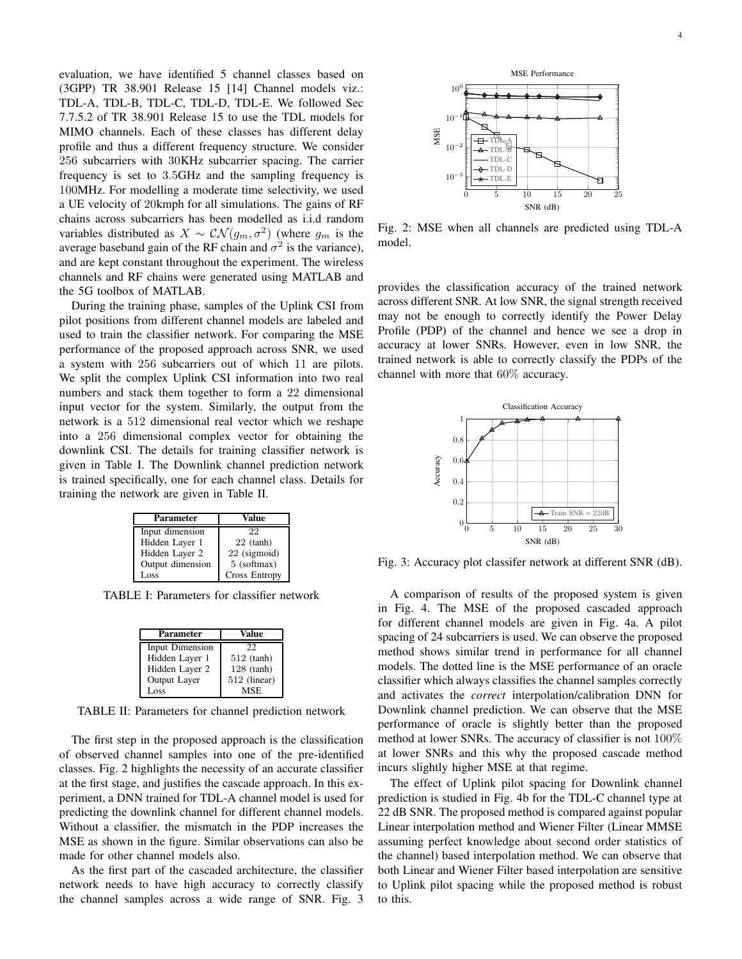evaluation, we have identified 5 channel classes based on (3GPP) TR 38.901 Release 15 [14] Channel models viz.: TDL-A, TDL-B, TDL-C, TDL-D, TDL-E. We followed Sec 7.7.5.2 of TR 38.901 Release 15 to use the TDL models for MIMO channels. Each of these classes has different delay profile and thus a different frequency structure. We consider 256 subcarriers with 30KHz subcarrier spacing. The carrier frequency is set to 3.5GHz and the sampling frequency is 100MHz. For modelling a moderate time selectivity, we used a UE velocity of 20kmph for all simulations. The gains of RF chains across subcarriers has been modelled as i.i.d random variables distributed as  $X \sim \mathcal{CN}(g_m, \sigma^2)$  (where  $g_m$  is the average baseband gain of the RF chain and  $\sigma^2$  is the variance), and are kept constant throughout the experiment. The wireless channels and RF chains were generated using MATLAB and the 5G toolbox of MATLAB.

During the training phase, samples of the Uplink CSI from pilot positions from different channel models are labeled and used to train the classifier network. For comparing the MSE performance of the proposed approach across SNR, we used a system with 256 subcarriers out of which 11 are pilots. We split the complex Uplink CSI information into two real numbers and stack them together to form a 22 dimensional input vector for the system. Similarly, the output from the network is a 512 dimensional real vector which we reshape into a 256 dimensional complex vector for obtaining the downlink CSI. The details for training classifier network is given in Table I. The Downlink channel prediction network is trained specifically, one for each channel class. Details for training the network are given in Table II.

| Parameter        | Value         |
|------------------|---------------|
| Input dimension  | 22            |
| Hidden Layer 1   | $22$ (tanh)   |
| Hidden Layer 2   | 22 (sigmoid)  |
| Output dimension | 5 (softmax)   |
| Loss             | Cross Entropy |

TABLE I: Parameters for classifier network

| Parameter       | Value        |
|-----------------|--------------|
| Input Dimension | 22           |
| Hidden Layer 1  | $512$ (tanh) |
| Hidden Layer 2  | $128$ (tanh) |
| Output Layer    | 512 (linear) |
| Loss            | <b>MSE</b>   |

TABLE II: Parameters for channel prediction network

The first step in the proposed approach is the classification of observed channel samples into one of the pre-identified classes. Fig. 2 highlights the necessity of an accurate classifier at the first stage, and justifies the cascade approach. In this experiment, a DNN trained for TDL-A channel model is used for predicting the downlink channel for different channel models. Without a classifier, the mismatch in the PDP increases the MSE as shown in the figure. Similar observations can also be made for other channel models also.

As the first part of the cascaded architecture, the classifier network needs to have high accuracy to correctly classify the channel samples across a wide range of SNR. Fig. 3



Fig. 2: MSE when all channels are predicted using TDL-A model.

provides the classification accuracy of the trained network across different SNR. At low SNR, the signal strength received may not be enough to correctly identify the Power Delay Profile (PDP) of the channel and hence we see a drop in accuracy at lower SNRs. However, even in low SNR, the trained network is able to correctly classify the PDPs of the channel with more that 60% accuracy.



Fig. 3: Accuracy plot classifer network at different SNR (dB).

A comparison of results of the proposed system is given in Fig. 4. The MSE of the proposed cascaded approach for different channel models are given in Fig. 4a. A pilot spacing of 24 subcarriers is used. We can observe the proposed method shows similar trend in performance for all channel models. The dotted line is the MSE performance of an oracle classifier which always classifies the channel samples correctly and activates the *correct* interpolation/calibration DNN for Downlink channel prediction. We can observe that the MSE performance of oracle is slightly better than the proposed method at lower SNRs. The accuracy of classifier is not 100% at lower SNRs and this why the proposed cascade method incurs slightly higher MSE at that regime.

The effect of Uplink pilot spacing for Downlink channel prediction is studied in Fig. 4b for the TDL-C channel type at 22 dB SNR. The proposed method is compared against popular Linear interpolation method and Wiener Filter (Linear MMSE assuming perfect knowledge about second order statistics of the channel) based interpolation method. We can observe that both Linear and Wiener Filter based interpolation are sensitive to Uplink pilot spacing while the proposed method is robust to this.